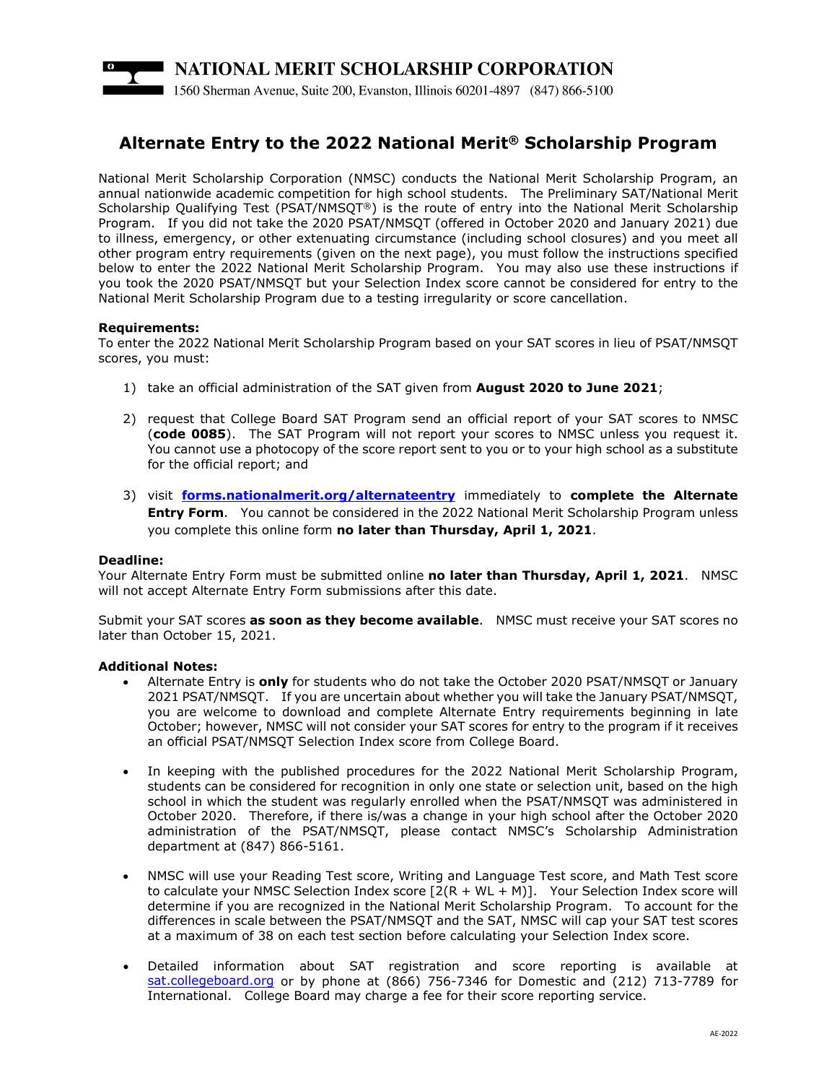

# **Alternate Entry to the 2022 National Merit® Scholarship Program**

National Merit Scholarship Corporation (NMSC) conducts the National Merit Scholarship Program, an annual nationwide academic competition for high school students. The Preliminary SAT/National Merit Scholarship Qualifying Test (PSAT/NMSQT®) is the route of entry into the National Merit Scholarship Program. If you did not take the 2020 PSAT/NMSQT (offered in October 2020 and January 2021) due to illness, emergency, or other extenuating circumstance (including school closures) and you meet all other program entry requirements (given on the next page), you must follow the instructions specified below to enter the 2022 National Merit Scholarship Program. You may also use these instructions if you took the 2020 PSAT/NMSQT but your Selection Index score cannot be considered for entry to the National Merit Scholarship Program due to a testing irregularity or score cancellation.

## **Requirements:**

To enter the 2022 National Merit Scholarship Program based on your SAT scores in lieu of PSAT/NMSQT scores, you must:

- 1) take an official administration of the SAT given from **August 2020 to June 2021**;
- 2) request that College Board SAT Program send an official report of your SAT scores to NMSC (**code 0085**). The SAT Program will not report your scores to NMSC unless you request it. You cannot use a photocopy of the score report sent to you or to your high school as a substitute for the official report; and
- 3) visit **[forms.nationalmerit.org/alternateentry](http://forms.nationalmerit.org/alternateentry)** immediately to **complete the Alternate Entry Form**. You cannot be considered in the 2022 National Merit Scholarship Program unless you complete this online form **no later than Thursday, April 1, 2021**.

#### **Deadline:**

Your Alternate Entry Form must be submitted online **no later than Thursday, April 1, 2021**. NMSC will not accept Alternate Entry Form submissions after this date.

Submit your SAT scores **as soon as they become available**. NMSC must receive your SAT scores no later than October 15, 2021.

#### **Additional Notes:**

- Alternate Entry is **only** for students who do not take the October 2020 PSAT/NMSQT or January 2021 PSAT/NMSQT. If you are uncertain about whether you will take the January PSAT/NMSQT, you are welcome to download and complete Alternate Entry requirements beginning in late October; however, NMSC will not consider your SAT scores for entry to the program if it receives an official PSAT/NMSQT Selection Index score from College Board.
- In keeping with the published procedures for the 2022 National Merit Scholarship Program, students can be considered for recognition in only one state or selection unit, based on the high school in which the student was regularly enrolled when the PSAT/NMSQT was administered in October 2020. Therefore, if there is/was a change in your high school after the October 2020 administration of the PSAT/NMSQT, please contact NMSC's Scholarship Administration department at (847) 866-5161.
- NMSC will use your Reading Test score, Writing and Language Test score, and Math Test score to calculate your NMSC Selection Index score [2(R + WL + M)]. Your Selection Index score will determine if you are recognized in the National Merit Scholarship Program. To account for the differences in scale between the PSAT/NMSQT and the SAT, NMSC will cap your SAT test scores at a maximum of 38 on each test section before calculating your Selection Index score.
- Detailed information about SAT registration and score reporting is available at [sat.collegeboard.org](http://sat.collegeboard.org/) or by phone at (866) 756-7346 for Domestic and (212) 713-7789 for International. College Board may charge a fee for their score reporting service.